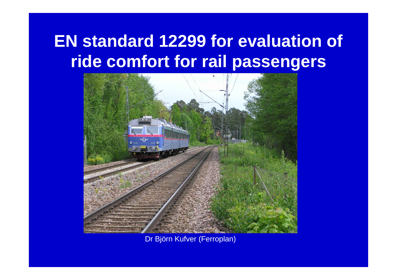### **EN standard 12299 for evaluation of ride comfort for rail passengers**



Dr Björn Kufver (Ferroplan)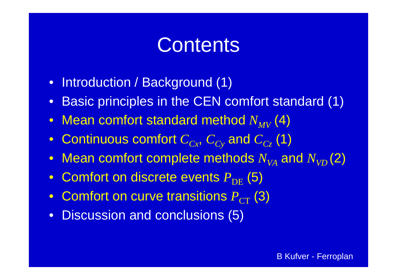### **Contents**

- Introduction / Background (1)
- $\bullet~$  Basic principles in the CEN comfort standard (1)
- $\bullet$  -Mean comfort standard method  $N_{MV}^{-}(4)$
- Continuous comfort  $C_{Cx}$ ,  $C_{Cy}$  and  $C_{Cz}$  (1)
- $\bullet$  Mean comfort complete methods  $N_{V\!A}$  and  $N_{V\!D}^{}(\mathsf{2})$
- Comfort on discrete events  $P_{\rm DE}^{}\left(5\right)$
- $\bullet~$  Comfort on curve transitions  $P_{\textrm{CT}}^{\textrm{}}\left(3\right)$
- Discussion and conclusions (5)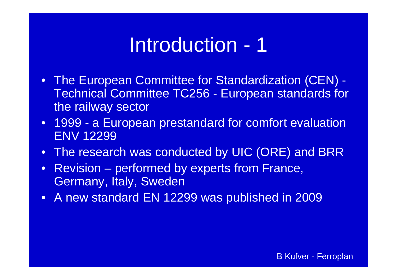### Introduction - 1

- The European Committee for Standardization (CEN) -Technical Committee TC256 - European standards for the railway sector
- $\bullet$  1999 - a European prestandard for comfort evaluation ENV 12299
- $\bullet$ The research was conducted by UIC (ORE) and BRR
- $\bullet$  Revision – performed by experts from France, Germany, Italy, Sweden
- $\bullet$ A new standard EN 12299 was published in 2009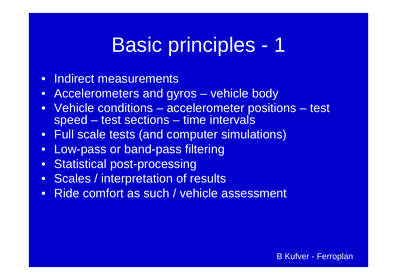### Basic principles - 1

- $\bullet$ • Indirect measurements
- $\bullet$ Accelerometers and gyros – vehicle body
- $\bullet$  Vehicle conditions – $-$  accelerometer positions – test speed – test sections – time intervals
- $\bullet$ Full scale tests (and computer simulations)
- •Low-pass or band-pass filtering
- •Statistical post-processing
- $\bullet$ Scales / interpretation of results
- •Ride comfort as such / vehicle assessment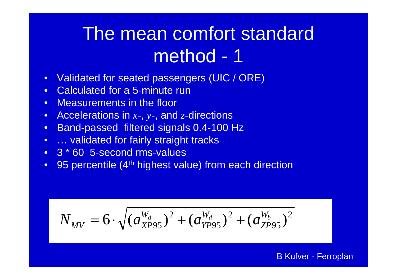- $\bullet$ Validated for seated passengers (UIC / ORE) /
- •Calculated for a 5-minute run
- •Measurements in the floor
- •Accelerations in *x-*, *y-*, and *z-*directions
- •Band-passed filtered signals 0.4-100 Hz
- •… validated for fairly straight tracks
- 3 \* 60 5-second rms-values
- •95 percentile (4<sup>th</sup> highest value) from each direction

$$
N_{MV} = 6 \cdot \sqrt{(a_{XPS5}^{W_d})^2 + (a_{YPS5}^{W_d})^2 + (a_{ZPS5}^{W_b})^2}
$$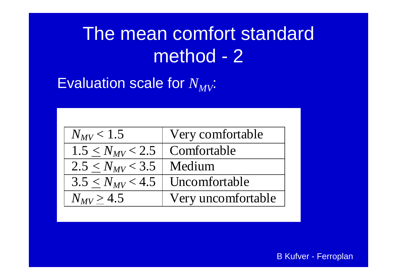Evaluation scale for  $N_{MV}\!\!$ 

| $N_{MV}$ < 1.5                        | Very comfortable   |
|---------------------------------------|--------------------|
| $1.5 \leq N_{MV}$ < 2.5   Comfortable |                    |
| $2.5 \le N_{MV}$ < 3.5   Medium       |                    |
| $3.5 < N_{MV} < 4.5$                  | Uncomfortable      |
| $N_{MV} > 4.5$                        | Very uncomfortable |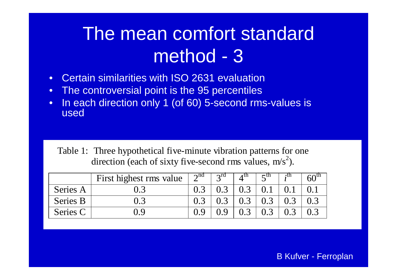- •• Certain similarities with ISO 2631 evaluation
- •The controversial point is the 95 percentiles
- •In each direction only 1 (of 60) 5-second rms-values is used

Table 1: Three hypothetical five-minute vibration patterns for one direction (each of sixty five-second rms values,  $m/s<sup>2</sup>$ ).

|          | First highest rms value | 2 <sup>nd</sup> | $\gamma$ rd | $\lambda$ $\mu$ | $\mathcal{L}^{\text{III}}$ | ∙u. | 60 |
|----------|-------------------------|-----------------|-------------|-----------------|----------------------------|-----|----|
| Series A |                         |                 |             | $0.3$           |                            |     |    |
| Series B | $\Omega$ 3              |                 |             | 0.3             | 0.3                        |     |    |
| Series C | () Q                    |                 |             | 0.3             | 0.3                        |     |    |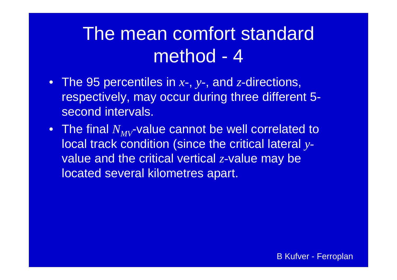- The 95 percentiles in *x-*, *y -*, and *z-*directions, respectively, may occur during three different 5 second intervals.
- $\bullet~$  The final  $N_{MV}$ -value cannot be well correlated to local track condition (since the critical lateral  $y\text{-}$ value and the critical vertical *z-*value may be located several kilometres apart.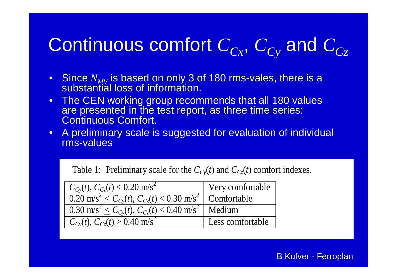# Continuous comfort  $C_{Cx}$ ,  $C_{Cy}$  and  $C_{Cz}$

- Since  $N_{MV}$  is based on only 3 of 180 rms-vales, there is a<br>substantial loss of information.
- • The CEN working group recommends that all 180 values are presented in the test report, as three time series: Continuous Comfort.
- A preliminary scale is suggested for evaluation of individual rms-values

Table 1: Preliminary scale for the  $C_{Cy}(t)$  and  $C_{Cz}(t)$  comfort indexes.

| $C_{Cy}(t)$ , $C_{Cz}(t)$ < 0.20 m/s <sup>2</sup>                                                    | Very comfortable |  |  |
|------------------------------------------------------------------------------------------------------|------------------|--|--|
| $\frac{1}{1000}$ m/s <sup>2</sup> $\leq C_{Cv}(t)$ , $C_{Cz}(t)$ < 0.30 m/s <sup>2</sup> Comfortable |                  |  |  |
| $0.30 \text{ m/s}^2 \leq C_{Cv}(t), C_{Cz}(t) < 0.40 \text{ m/s}^2$ Medium                           |                  |  |  |
| $C_{Cv}(t)$ , $C_{Cz}(t) \ge 0.40$ m/s <sup>2</sup>                                                  | Less comfortable |  |  |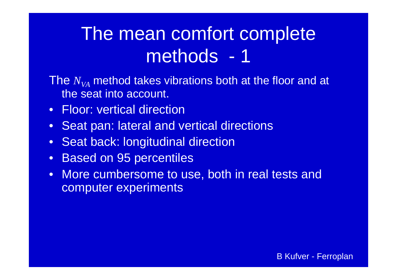## The mean comfort complete methods - 1

- The  $N_{\rm V\!A}$  method takes vibrations both at the floor and at the seat into account.
- Floor: vertical direction
- Seat pan: lateral and vertical directions
- Seat back: longitudinal direction
- Based on 95 percentiles
- More cumbersome to use, both in real tests and computer experiments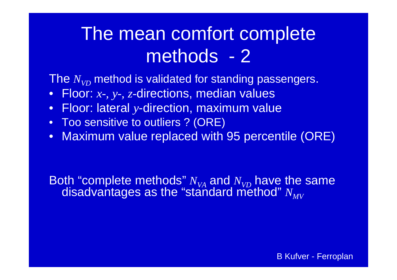### The mean comfort complete methods - 2

The  $N_{\mathrm{VD}}$  method is validated for standing passengers.

- Floor: *x-, y-, z-*directions, median values
- Floor: lateral  $y$ -direction, maximum value
- Too sensitive to outliers ? (ORE)
- Maximum value replaced with 95 percentile (ORE)

Both "complete methods"  $N_{VA}$  and  $N_{VD}$  have the same<br>disadvantages as the "standard method"  $N_{MV}$ disadvantages as the "standard method"  $N_{MV}$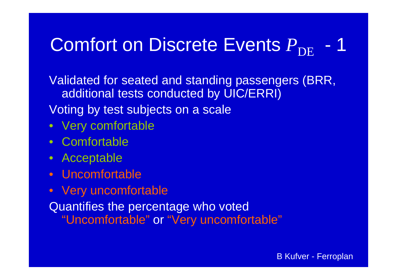#### Comfort on Discrete Events  $P_{\rm DE}$ 1

Validated for seated and standing passengers (BRR, additional tests conducted by UIC/ERRI) Voting by test subjects on <sup>a</sup> scale

- Very comfortable
- Comfortable
- Acceptable
- Uncomfortable
- Very uncomfortable

Quantifies the percentage who voted "Uncomfortable" or "Very uncomfortable"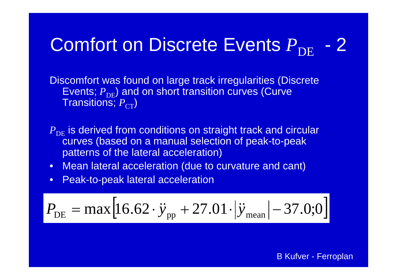#### Comfort on Discrete Events  $P_{\rm DE}$ 2

Discomfort was found on large track irregularities (Discrete Events;  $P_\mathsf{DE}$ ) and on short transition curves (Curve Transitions;  $P_{\mathrm{CT}}$ )

- $P_{\rm DE}$  is derived from conditions on straight track and circular curves (based on a manual selection of peak-to-peak patterns of the lateral acceleration)
- Mean lateral acceleration (due to curvature and cant)
- $\bullet$ Peak-to-peak lateral acceleration

$$
P_{\rm DE} = \max\left[16.62 \cdot \ddot{y}_{\rm pp} + 27.01 \cdot |\ddot{y}_{\rm mean}| - 37.0;0\right]
$$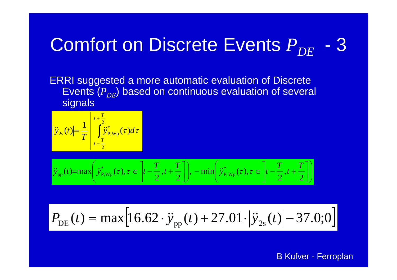#### Comfort on Discrete Events  $P_{DE}$ 3

ERRI suggested a more automatic evaluation of Discrete Events  $(P_{\overline{DE}})$  based on continuous evaluation of several si gnals

$$
\left|\ddot{y}_{2s}(t)\right| = \frac{1}{T} \left| \int_{t-\frac{T}{2}}^{t+\frac{T}{2}} \ddot{y}_{P, Wp}^*(\tau) d\tau \right|
$$

$$
\ddot{y}_{\text{pp}}(t) = \max\left(\ddot{y}_{\text{P},\text{Wp}}^*(\tau), \tau \in \left]t - \frac{T}{2}, t + \frac{T}{2}\right], -\min\left(\ddot{y}_{\text{P},\text{Wp}}^*(\tau), \tau \in \left[t - \frac{T}{2}, t + \frac{T}{2}\right]\right)
$$

$$
P_{\rm DE}(t) = \max[16.62 \cdot \ddot{y}_{\rm pp}(t) + 27.01 \cdot |\ddot{y}_{\rm 2s}(t)| - 37.0;0]
$$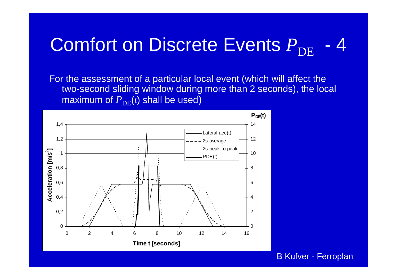#### Comfort on Discrete Events  $P_{\rm DE}$ 4

For the assessment of a particular local event (which will affect the two-second sliding window during more than 2 seconds), the local maximum of  ${P}_{\rm{DE}}(t)$  shall be used)

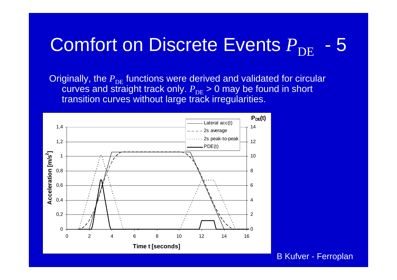#### Comfort on Discrete Events  $P_{\rm DE}$ 5

Originally, the  $P_{\text{DE}}$  functions were derived and validated for circular curves and straight track only.  $P_{\text{DE}}$  > 0 may be found in short transition curves without large track irregularities.

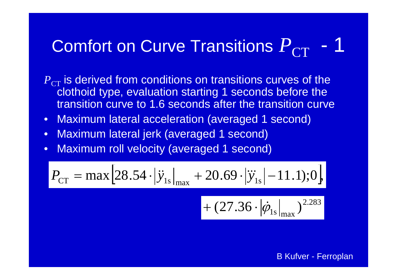#### Comfort on Curve Transitions  ${P}_{\mathrm{CT}}$ 1

 $P_{\rm CT}$  is derived from conditions on transitions curves of the  $\,$ clothoid type, evaluation starting 1 seconds before the transition curve to 1.6 seconds after the transition curve

- •Maximum lateral acceleration (averaged 1 second)
- •Maximum lateral jerk (averaged 1 second)
- •Maximum roll velocity (averaged 1 second)

$$
P_{\rm CT} = \max \left[ 28.54 \cdot |\ddot{y}_{1s}|_{\rm max} + 20.69 \cdot |\dddot{y}_{1s}| - 11.1 \right]; 0 \right]
$$

$$
+ (27.36 \cdot |\dot{\phi}_{1s}|_{\text{max}})^{2.283}
$$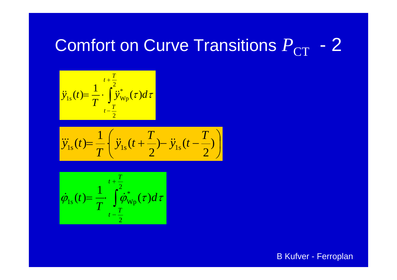#### Comfort on Curve Transitions  ${P}_{\mathrm{CT}}$ 2



$$
\ddot{y}_{1s}(t) = \frac{1}{T} \left( \ddot{y}_{1s}(t + \frac{T}{2}) - \ddot{y}_{1s}(t - \frac{T}{2}) \right)
$$

$$
\dot{\varphi}_{1s}(t) = \frac{1}{T} \int_{t-\frac{T}{2}}^{t+\frac{T}{2}} \dot{\varphi}_{\text{Wp}}^*(\tau) d\tau
$$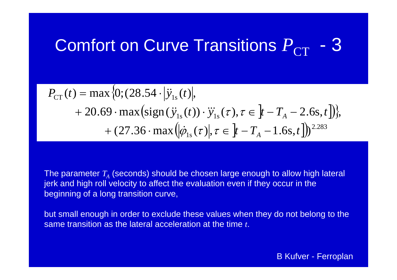#### Comfort on Curve Transitions  ${P}_{\mathrm{CT}}$ 3

$$
P_{\text{CT}}(t) = \max \{0; (28.54 \cdot |\ddot{y}_{1s}(t)|,+ 20.69 \cdot \max(\text{sign}(\ddot{y}_{1s}(t)) \cdot \dddot{y}_{1s}(\tau), \tau \in ]t - T_A - 2.6 \text{s}, t] \},
$$
  
+ (27.36 \cdot \max(|\dot{\varphi}\_{1s}(\tau)|, \tau \in ]t - T\_A - 1.6 \text{s}, t] )<sup>2.283</sup>

The parameter  $T_{\scriptscriptstyle A}$  (seconds) should be chosen large enough to allow high lateral jerk and high roll velocity to affect the evaluation even if they occur in the beginning of a long transition curve,

but small enough in order to exclude these values when they do not belong to the same transition as the lateral acceleration at the time *t*.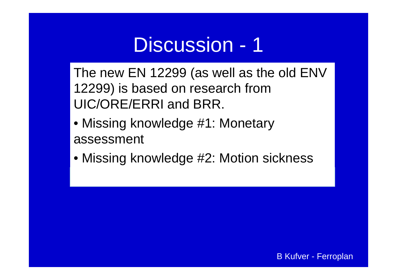The new EN 12299 (as well as the old  $ENV$ 12299) is based on research from UIC/ORE/ERRI and BRR.

- Missing knowledge #1: Monetary assessment
- Missing knowledge #2: Motion sickness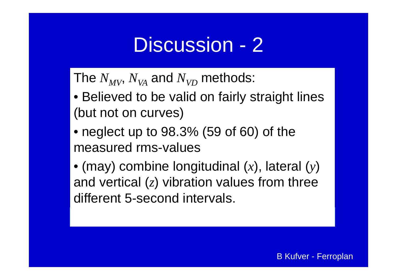The  $N_{MV}$ ,  $N_{VA}$  and  $N_{VD}$  methods:

- Believed to be valid on fairly straight lines (but not on curves)
- neglect up to 98.3% (59 of 60) of the measured rms-values
- (may) combine longitudinal (*x*), lateral (*y*) and vertical (*z*) vibration values from three different 5-second intervals.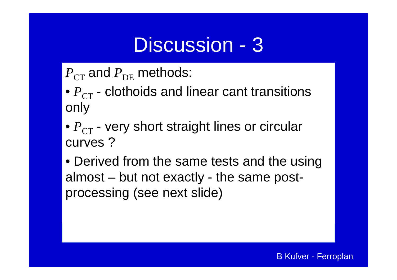$P_{\rm CT}$  and  $P_{\rm DE}$  methods:

•  $P_{\textrm{CT}}$  - clothoids and linear cant transitions only

- $P_{\textrm{CT}}$  very short straight lines or circular curves ?
- Derived from the same tests and the using almost – but not exactly - the same postprocessing (see next slide)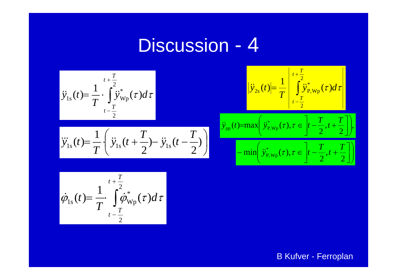

$$
\int_{-\frac{T}{2}}^{\frac{T}{2}} \tilde{y}_{\text{Wp}}^*(\tau) d\tau
$$
\n
$$
-\frac{T}{2}
$$
\n
$$
T \quad \int_{-\frac{T}{2}}^{\frac{T}{2}} \frac{|\ddot{y}_{\text{p}}(t)|}{|\ddot{y}_{\text{p}}(t)|} d\tau
$$
\n
$$
\frac{|\ddot{y}_{\text{p}}(t)|}{|\ddot{y}_{\text{p}}(t)|} = \frac{1}{T} \left| \int_{t-\frac{T}{2}}^{t+\frac{T}{2}} \frac{\tilde{y}_{\text{p}}^*(\tau)}{|\dot{y}_{\text{p}}(t)|} d\tau \right|
$$

$$
\ddot{y}_{1s}(t) = \frac{1}{T} \left( \ddot{y}_{1s}(t + \frac{T}{2}) - \ddot{y}_{1s}(t - \frac{T}{2}) \right)
$$
\n
$$
- \min \left( \ddot{y}_{P, w_{P}}^{*}(\tau), \tau \in \left[ t - \frac{T}{2}, t + \frac{T}{2} \right] \right)
$$

$$
(t)=\max\left(\ddot{y}_{P,\text{Wp}}^*(\tau),\tau\in\left[t-\frac{T}{2},t+\frac{T}{2}\right]\right),\newline-\min\left(\ddot{y}_{P,\text{Wp}}^*(\tau),\tau\in\left[t-\frac{T}{2},t+\frac{T}{2}\right]\right)
$$

$$
\dot{\varphi}_{1s}(t) = \frac{1}{T} \int_{t-\frac{T}{2}}^{t+\frac{T}{2}} \dot{\varphi}_{\text{Wp}}^*(\tau) d\tau
$$